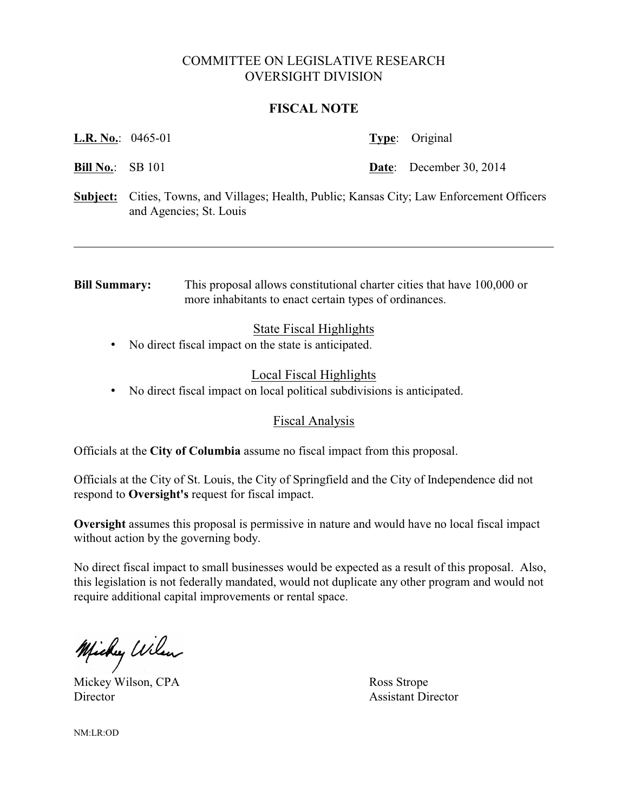# COMMITTEE ON LEGISLATIVE RESEARCH OVERSIGHT DIVISION

#### **FISCAL NOTE**

**L.R. No.**: 0465-01 **Type**: Original

**Bill No.:** SB 101 **Date:** December 30, 2014

**Subject:** Cities, Towns, and Villages; Health, Public; Kansas City; Law Enforcement Officers and Agencies; St. Louis

**Bill Summary:** This proposal allows constitutional charter cities that have 100,000 or more inhabitants to enact certain types of ordinances.

# State Fiscal Highlights

• No direct fiscal impact on the state is anticipated.

# Local Fiscal Highlights

• No direct fiscal impact on local political subdivisions is anticipated.

#### Fiscal Analysis

Officials at the **City of Columbia** assume no fiscal impact from this proposal.

Officials at the City of St. Louis, the City of Springfield and the City of Independence did not respond to **Oversight's** request for fiscal impact.

**Oversight** assumes this proposal is permissive in nature and would have no local fiscal impact without action by the governing body.

No direct fiscal impact to small businesses would be expected as a result of this proposal. Also, this legislation is not federally mandated, would not duplicate any other program and would not require additional capital improvements or rental space.

Michy Wilson

Mickey Wilson, CPA Ross Strope Director Assistant Director

NM:LR:OD